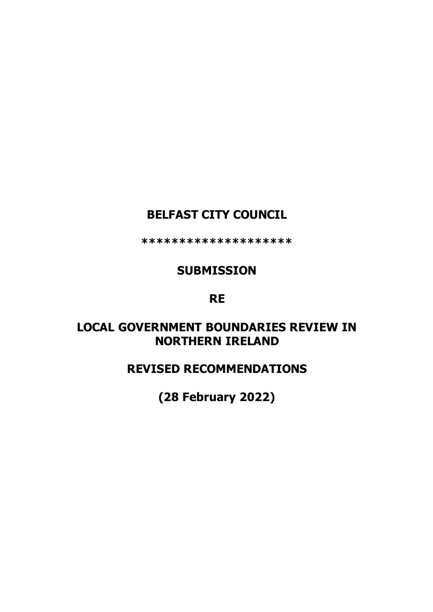# **BELFAST CITY COUNCIL**

**\*\*\*\*\*\*\*\*\*\*\*\*\*\*\*\*\*\*\*\***

# **SUBMISSION**

## **RE**

# **LOCAL GOVERNMENT BOUNDARIES REVIEW IN NORTHERN IRELAND**

## **REVISED RECOMMENDATIONS**

**(28 February 2022)**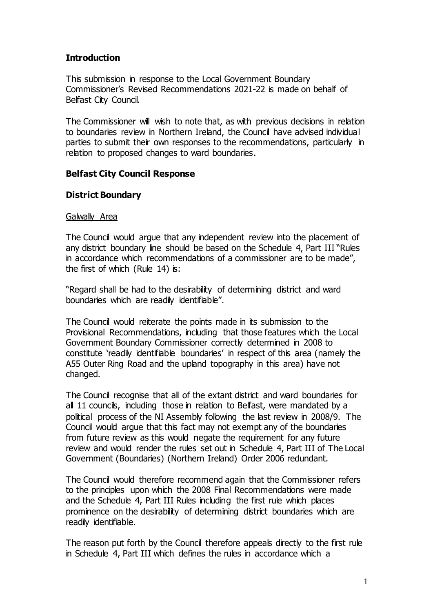### **Introduction**

This submission in response to the Local Government Boundary Commissioner's Revised Recommendations 2021-22 is made on behalf of Belfast City Council.

The Commissioner will wish to note that, as with previous decisions in relation to boundaries review in Northern Ireland, the Council have advised individual parties to submit their own responses to the recommendations, particularly in relation to proposed changes to ward boundaries.

### **Belfast City Council Response**

### **District Boundary**

### Galwally Area

The Council would argue that any independent review into the placement of any district boundary line should be based on the Schedule 4, Part III "Rules in accordance which recommendations of a commissioner are to be made", the first of which (Rule 14) is:

"Regard shall be had to the desirability of determining district and ward boundaries which are readily identifiable".

The Council would reiterate the points made in its submission to the Provisional Recommendations, including that those features which the Local Government Boundary Commissioner correctly determined in 2008 to constitute 'readily identifiable boundaries' in respect of this area (namely the A55 Outer Ring Road and the upland topography in this area) have not changed.

The Council recognise that all of the extant district and ward boundaries for all 11 councils, including those in relation to Belfast, were mandated by a political process of the NI Assembly following the last review in 2008/9. The Council would argue that this fact may not exempt any of the boundaries from future review as this would negate the requirement for any future review and would render the rules set out in Schedule 4, Part III of The Local Government (Boundaries) (Northern Ireland) Order 2006 redundant.

The Council would therefore recommend again that the Commissioner refers to the principles upon which the 2008 Final Recommendations were made and the Schedule 4, Part III Rules including the first rule which places prominence on the desirability of determining district boundaries which are readily identifiable.

The reason put forth by the Council therefore appeals directly to the first rule in Schedule 4, Part III which defines the rules in accordance which a